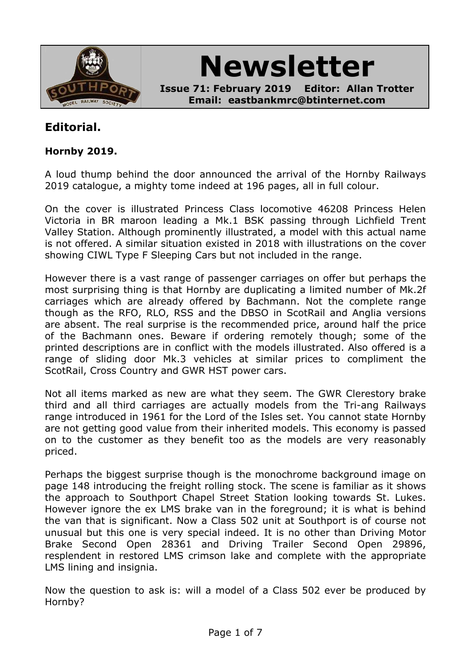

**Newsletter**

**Issue 71: February 2019 Editor: Allan Trotter Email: eastbankmrc@btinternet.com**

# **Editorial.**

#### **Hornby 2019.**

A loud thump behind the door announced the arrival of the Hornby Railways 2019 catalogue, a mighty tome indeed at 196 pages, all in full colour.

On the cover is illustrated Princess Class locomotive 46208 Princess Helen Victoria in BR maroon leading a Mk.1 BSK passing through Lichfield Trent Valley Station. Although prominently illustrated, a model with this actual name is not offered. A similar situation existed in 2018 with illustrations on the cover showing CIWL Type F Sleeping Cars but not included in the range.

However there is a vast range of passenger carriages on offer but perhaps the most surprising thing is that Hornby are duplicating a limited number of Mk.2f carriages which are already offered by Bachmann. Not the complete range though as the RFO, RLO, RSS and the DBSO in ScotRail and Anglia versions are absent. The real surprise is the recommended price, around half the price of the Bachmann ones. Beware if ordering remotely though; some of the printed descriptions are in conflict with the models illustrated. Also offered is a range of sliding door Mk.3 vehicles at similar prices to compliment the ScotRail, Cross Country and GWR HST power cars.

Not all items marked as new are what they seem. The GWR Clerestory brake third and all third carriages are actually models from the Tri-ang Railways range introduced in 1961 for the Lord of the Isles set. You cannot state Hornby are not getting good value from their inherited models. This economy is passed on to the customer as they benefit too as the models are very reasonably priced.

Perhaps the biggest surprise though is the monochrome background image on page 148 introducing the freight rolling stock. The scene is familiar as it shows the approach to Southport Chapel Street Station looking towards St. Lukes. However ignore the ex LMS brake van in the foreground; it is what is behind the van that is significant. Now a Class 502 unit at Southport is of course not unusual but this one is very special indeed. It is no other than Driving Motor Brake Second Open 28361 and Driving Trailer Second Open 29896, resplendent in restored LMS crimson lake and complete with the appropriate LMS lining and insignia.

Now the question to ask is: will a model of a Class 502 ever be produced by Hornby?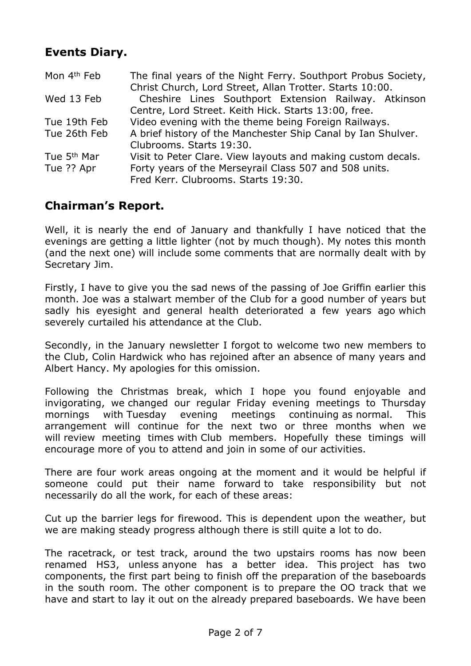# **Events Diary.**

| Mon 4 <sup>th</sup> Feb | The final years of the Night Ferry. Southport Probus Society,<br>Christ Church, Lord Street, Allan Trotter. Starts 10:00. |
|-------------------------|---------------------------------------------------------------------------------------------------------------------------|
| Wed 13 Feb              | Cheshire Lines Southport Extension Railway. Atkinson                                                                      |
|                         | Centre, Lord Street. Keith Hick. Starts 13:00, free.                                                                      |
| Tue 19th Feb            | Video evening with the theme being Foreign Railways.                                                                      |
| Tue 26th Feb            | A brief history of the Manchester Ship Canal by Ian Shulver.                                                              |
|                         | Clubrooms. Starts 19:30.                                                                                                  |
| Tue 5 <sup>th</sup> Mar | Visit to Peter Clare. View layouts and making custom decals.                                                              |
| Tue ?? Apr              | Forty years of the Merseyrail Class 507 and 508 units.                                                                    |
|                         | Fred Kerr. Clubrooms. Starts 19:30.                                                                                       |

## **Chairman's Report.**

Well, it is nearly the end of January and thankfully I have noticed that the evenings are getting a little lighter (not by much though). My notes this month (and the next one) will include some comments that are normally dealt with by Secretary Jim.

Firstly, I have to give you the sad news of the passing of Joe Griffin earlier this month. Joe was a stalwart member of the Club for a good number of years but sadly his eyesight and general health deteriorated a few years ago which severely curtailed his attendance at the Club.

Secondly, in the January newsletter I forgot to welcome two new members to the Club, Colin Hardwick who has rejoined after an absence of many years and Albert Hancy. My apologies for this omission.

Following the Christmas break, which I hope you found enjoyable and invigorating, we changed our regular Friday evening meetings to Thursday mornings with Tuesday evening meetings continuing as normal. This arrangement will continue for the next two or three months when we will review meeting times with Club members. Hopefully these timings will encourage more of you to attend and join in some of our activities.

There are four work areas ongoing at the moment and it would be helpful if someone could put their name forward to take responsibility but not necessarily do all the work, for each of these areas:

Cut up the barrier legs for firewood. This is dependent upon the weather, but we are making steady progress although there is still quite a lot to do.

The racetrack, or test track, around the two upstairs rooms has now been renamed HS3, unless anyone has a better idea. This project has two components, the first part being to finish off the preparation of the baseboards in the south room. The other component is to prepare the OO track that we have and start to lay it out on the already prepared baseboards. We have been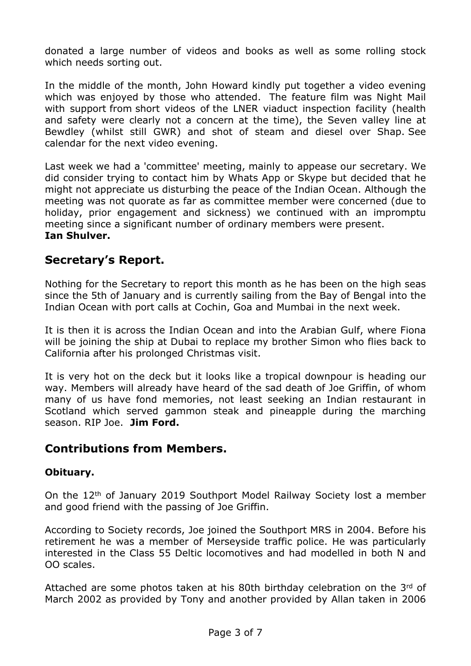donated a large number of videos and books as well as some rolling stock which needs sorting out.

In the middle of the month, John Howard kindly put together a video evening which was enjoyed by those who attended. The feature film was Night Mail with support from short videos of the LNER viaduct inspection facility (health and safety were clearly not a concern at the time), the Seven valley line at Bewdley (whilst still GWR) and shot of steam and diesel over Shap. See calendar for the next video evening.

Last week we had a 'committee' meeting, mainly to appease our secretary. We did consider trying to contact him by Whats App or Skype but decided that he might not appreciate us disturbing the peace of the Indian Ocean. Although the meeting was not quorate as far as committee member were concerned (due to holiday, prior engagement and sickness) we continued with an impromptu meeting since a significant number of ordinary members were present. **Ian Shulver.**

## **Secretary's Report.**

Nothing for the Secretary to report this month as he has been on the high seas since the 5th of January and is currently sailing from the Bay of Bengal into the Indian Ocean with port calls at Cochin, Goa and Mumbai in the next week.

It is then it is across the Indian Ocean and into the Arabian Gulf, where Fiona will be joining the ship at Dubai to replace my brother Simon who flies back to California after his prolonged Christmas visit.

It is very hot on the deck but it looks like a tropical downpour is heading our way. Members will already have heard of the sad death of Joe Griffin, of whom many of us have fond memories, not least seeking an Indian restaurant in Scotland which served gammon steak and pineapple during the marching season. RIP Joe. **Jim Ford.**

### **Contributions from Members.**

#### **Obituary.**

On the 12th of January 2019 Southport Model Railway Society lost a member and good friend with the passing of Joe Griffin.

According to Society records, Joe joined the Southport MRS in 2004. Before his retirement he was a member of Merseyside traffic police. He was particularly interested in the Class 55 Deltic locomotives and had modelled in both N and OO scales.

Attached are some photos taken at his 80th birthday celebration on the  $3<sup>rd</sup>$  of March 2002 as provided by Tony and another provided by Allan taken in 2006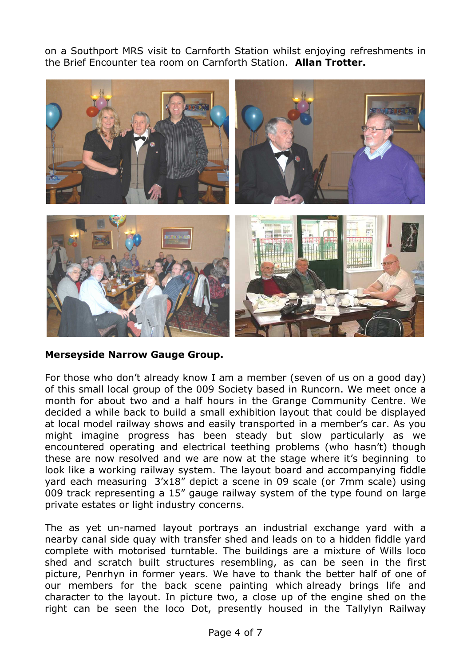on a Southport MRS visit to Carnforth Station whilst enjoying refreshments in the Brief Encounter tea room on Carnforth Station. **Allan Trotter.**



#### **Merseyside Narrow Gauge Group.**

For those who don't already know I am a member (seven of us on a good day) of this small local group of the 009 Society based in Runcorn. We meet once a month for about two and a half hours in the Grange Community Centre. We decided a while back to build a small exhibition layout that could be displayed at local model railway shows and easily transported in a member's car. As you might imagine progress has been steady but slow particularly as we encountered operating and electrical teething problems (who hasn't) though these are now resolved and we are now at the stage where it's beginning to look like a working railway system. The layout board and accompanying fiddle yard each measuring 3'x18" depict a scene in 09 scale (or 7mm scale) using 009 track representing a 15" gauge railway system of the type found on large private estates or light industry concerns.

The as yet un-named layout portrays an industrial exchange yard with a nearby canal side quay with transfer shed and leads on to a hidden fiddle yard complete with motorised turntable. The buildings are a mixture of Wills loco shed and scratch built structures resembling, as can be seen in the first picture, Penrhyn in former years. We have to thank the better half of one of our members for the back scene painting which already brings life and character to the layout. In picture two, a close up of the engine shed on the right can be seen the loco Dot, presently housed in the Tallylyn Railway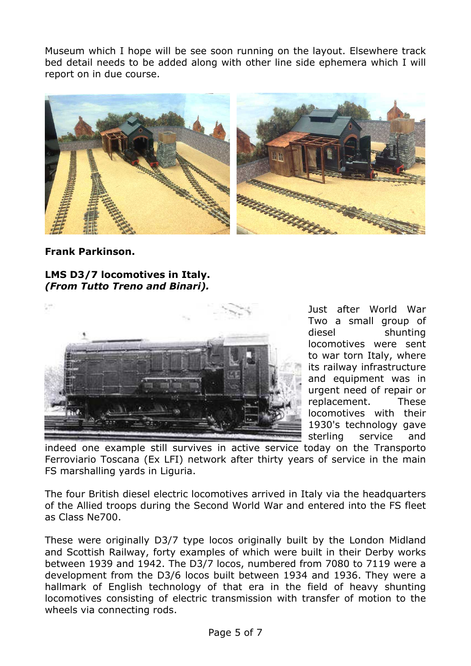Museum which I hope will be see soon running on the layout. Elsewhere track bed detail needs to be added along with other line side ephemera which I will report on in due course.



**Frank Parkinson.**

**LMS D3/7 locomotives in Italy.** *(From Tutto Treno and Binari).*



Just after World War Two a small group of diesel shunting locomotives were sent to war torn Italy, where its railway infrastructure and equipment was in urgent need of repair or replacement. These locomotives with their 1930's technology gave sterling service and

indeed one example still survives in active service today on the Transporto Ferroviario Toscana (Ex LFI) network after thirty years of service in the main FS marshalling yards in Liguria.

The four British diesel electric locomotives arrived in Italy via the headquarters of the Allied troops during the Second World War and entered into the FS fleet as Class Ne700.

These were originally D3/7 type locos originally built by the London Midland and Scottish Railway, forty examples of which were built in their Derby works between 1939 and 1942. The D3/7 locos, numbered from 7080 to 7119 were a development from the D3/6 locos built between 1934 and 1936. They were a hallmark of English technology of that era in the field of heavy shunting locomotives consisting of electric transmission with transfer of motion to the wheels via connecting rods.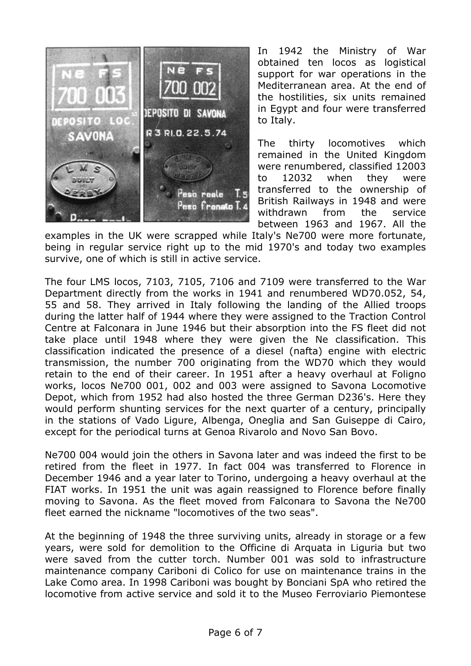

In 1942 the Ministry of War obtained ten locos as logistical support for war operations in the Mediterranean area. At the end of the hostilities, six units remained in Egypt and four were transferred to Italy.

The thirty locomotives which remained in the United Kingdom were renumbered, classified 12003 to 12032 when they were transferred to the ownership of British Railways in 1948 and were withdrawn from the service between 1963 and 1967. All the

examples in the UK were scrapped while Italy's Ne700 were more fortunate, being in regular service right up to the mid 1970's and today two examples survive, one of which is still in active service.

The four LMS locos, 7103, 7105, 7106 and 7109 were transferred to the War Department directly from the works in 1941 and renumbered WD70.052, 54, 55 and 58. They arrived in Italy following the landing of the Allied troops during the latter half of 1944 where they were assigned to the Traction Control Centre at Falconara in June 1946 but their absorption into the FS fleet did not take place until 1948 where they were given the Ne classification. This classification indicated the presence of a diesel (nafta) engine with electric transmission, the number 700 originating from the WD70 which they would retain to the end of their career. In 1951 after a heavy overhaul at Foligno works, locos Ne700 001, 002 and 003 were assigned to Savona Locomotive Depot, which from 1952 had also hosted the three German D236's. Here they would perform shunting services for the next quarter of a century, principally in the stations of Vado Ligure, Albenga, Oneglia and San Guiseppe di Cairo, except for the periodical turns at Genoa Rivarolo and Novo San Bovo.

Ne700 004 would join the others in Savona later and was indeed the first to be retired from the fleet in 1977. In fact 004 was transferred to Florence in December 1946 and a year later to Torino, undergoing a heavy overhaul at the FIAT works. In 1951 the unit was again reassigned to Florence before finally moving to Savona. As the fleet moved from Falconara to Savona the Ne700 fleet earned the nickname "locomotives of the two seas".

At the beginning of 1948 the three surviving units, already in storage or a few years, were sold for demolition to the Officine di Arquata in Liguria but two were saved from the cutter torch. Number 001 was sold to infrastructure maintenance company Cariboni di Colico for use on maintenance trains in the Lake Como area. In 1998 Cariboni was bought by Bonciani SpA who retired the locomotive from active service and sold it to the Museo Ferroviario Piemontese